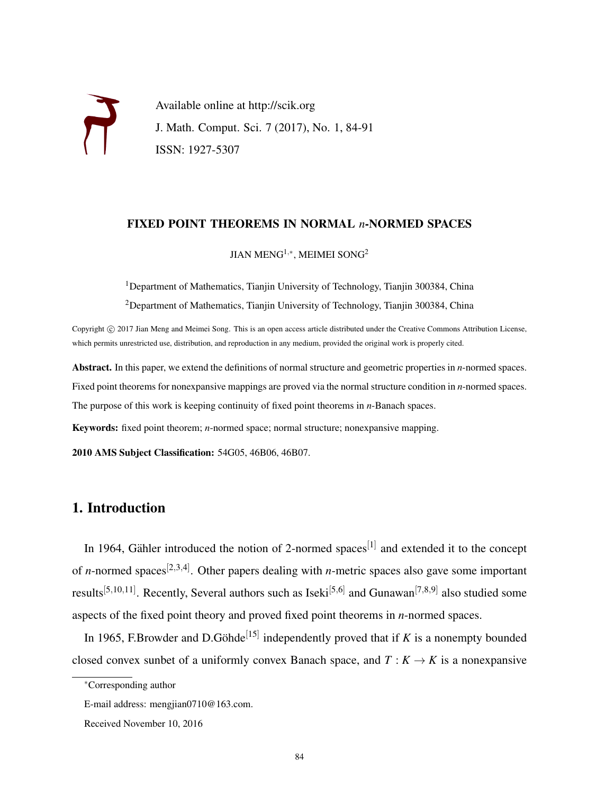Available online at http://scik.org J. Math. Comput. Sci. 7 (2017), No. 1, 84-91 ISSN: 1927-5307

### FIXED POINT THEOREMS IN NORMAL *n*-NORMED SPACES

JIAN MENG $^{1,\ast}$ , MEIMEI SONG $^2$ 

<sup>1</sup>Department of Mathematics, Tianjin University of Technology, Tianjin 300384, China <sup>2</sup>Department of Mathematics, Tianjin University of Technology, Tianjin 300384, China

Copyright © 2017 Jian Meng and Meimei Song. This is an open access article distributed under the Creative Commons Attribution License, which permits unrestricted use, distribution, and reproduction in any medium, provided the original work is properly cited.

Abstract. In this paper, we extend the definitions of normal structure and geometric properties in *n*-normed spaces. Fixed point theorems for nonexpansive mappings are proved via the normal structure condition in *n*-normed spaces. The purpose of this work is keeping continuity of fixed point theorems in *n*-Banach spaces.

Keywords: fixed point theorem; *n*-normed space; normal structure; nonexpansive mapping.

2010 AMS Subject Classification: 54G05, 46B06, 46B07.

# 1. Introduction

In 1964, Gähler introduced the notion of 2-normed spaces<sup>[1]</sup> and extended it to the concept of *n*-normed spaces<sup>[2,3,4]</sup>. Other papers dealing with *n*-metric spaces also gave some important results<sup>[5,10,11]</sup>. Recently, Several authors such as Iseki<sup>[5,6]</sup> and Gunawan<sup>[7,8,9]</sup> also studied some aspects of the fixed point theory and proved fixed point theorems in *n*-normed spaces.

In 1965, F.Browder and D.Göhde<sup>[15]</sup> independently proved that if *K* is a nonempty bounded closed convex sunbet of a uniformly convex Banach space, and  $T : K \to K$  is a nonexpansive

<sup>∗</sup>Corresponding author

E-mail address: mengjian0710@163.com.

Received November 10, 2016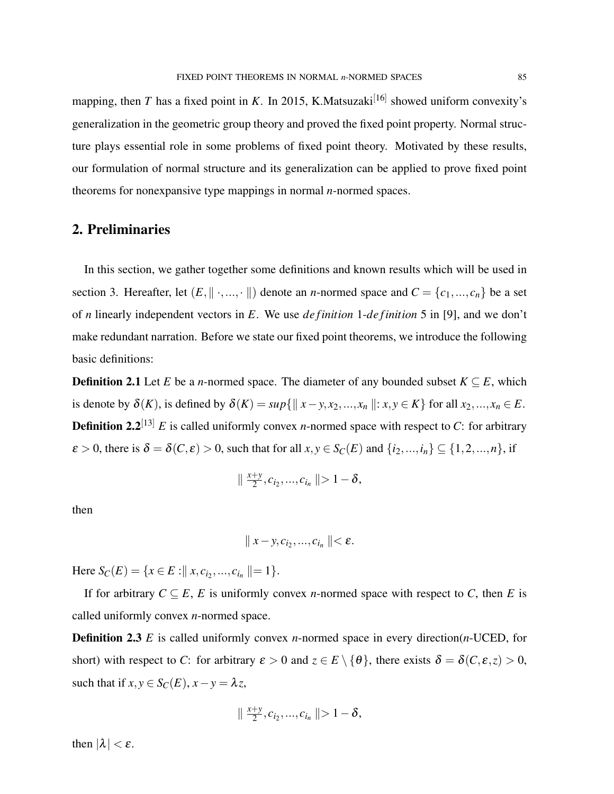mapping, then *T* has a fixed point in *K*. In 2015, K.Matsuzaki<sup>[16]</sup> showed uniform convexity's generalization in the geometric group theory and proved the fixed point property. Normal structure plays essential role in some problems of fixed point theory. Motivated by these results, our formulation of normal structure and its generalization can be applied to prove fixed point theorems for nonexpansive type mappings in normal *n*-normed spaces.

# 2. Preliminaries

In this section, we gather together some definitions and known results which will be used in section 3. Hereafter, let  $(E, \|\cdot, ..., \cdot\|)$  denote an *n*-normed space and  $C = \{c_1, ..., c_n\}$  be a set of *n* linearly independent vectors in *E*. We use *de finition* 1-*de finition* 5 in [9], and we don't make redundant narration. Before we state our fixed point theorems, we introduce the following basic definitions:

**Definition 2.1** Let *E* be a *n*-normed space. The diameter of any bounded subset  $K \subseteq E$ , which is denote by  $\delta(K)$ , is defined by  $\delta(K) = \sup\{\|x - y, x_2, ..., x_n\| : x, y \in K\}$  for all  $x_2, ..., x_n \in E$ . **Definition 2.2**<sup>[13]</sup> *E* is called uniformly convex *n*-normed space with respect to *C*: for arbitrary  $\varepsilon > 0$ , there is  $\delta = \delta(C, \varepsilon) > 0$ , such that for all  $x, y \in S_C(E)$  and  $\{i_2, ..., i_n\} \subseteq \{1, 2, ..., n\}$ , if

$$
\|\frac{x+y}{2},c_{i_2},...,c_{i_n}\|\geq 1-\delta,
$$

then

$$
\parallel x-y,c_{i_2},...,c_{i_n}\parallel<\varepsilon.
$$

Here  $S_C(E) = \{x \in E : || x, c_{i_2}, ..., c_{i_n} || = 1 \}.$ 

If for arbitrary  $C \subseteq E$ , *E* is uniformly convex *n*-normed space with respect to *C*, then *E* is called uniformly convex *n*-normed space.

Definition 2.3 *E* is called uniformly convex *n*-normed space in every direction(*n*-UCED, for short) with respect to *C*: for arbitrary  $\varepsilon > 0$  and  $z \in E \setminus \{\theta\}$ , there exists  $\delta = \delta(C, \varepsilon, z) > 0$ , such that if  $x, y \in S_C(E)$ ,  $x - y = \lambda z$ ,

$$
\|\frac{x+y}{2},c_{i_2},...,c_{i_n}\|>1-\delta,
$$

then  $|\lambda| < \varepsilon$ .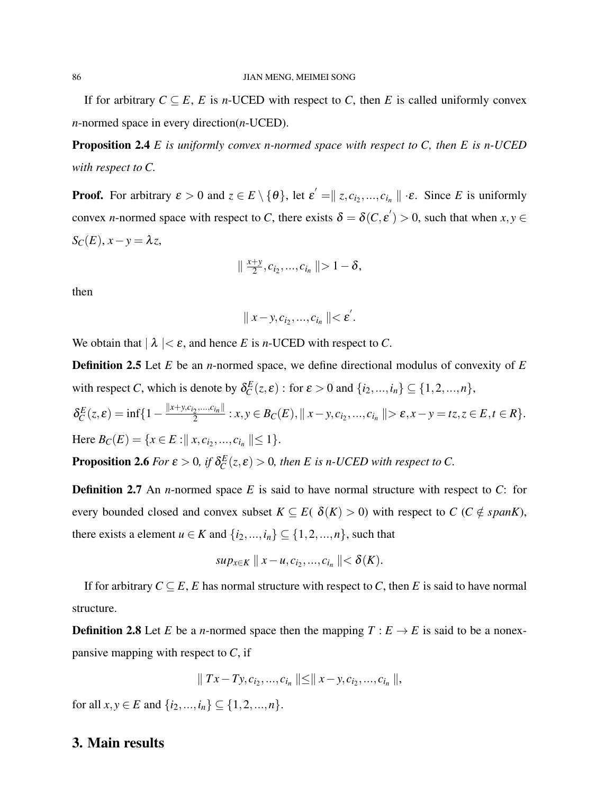If for arbitrary  $C \subseteq E$ , *E* is *n*-UCED with respect to *C*, then *E* is called uniformly convex *n*-normed space in every direction(*n*-UCED).

Proposition 2.4 *E is uniformly convex n-normed space with respect to C, then E is n-UCED with respect to C.*

**Proof.** For arbitrary  $\varepsilon > 0$  and  $z \in E \setminus \{\theta\}$ , let  $\varepsilon' = ||z, c_{i_2}, ..., c_{i_n}|| \cdot \varepsilon$ . Since *E* is uniformly convex *n*-normed space with respect to *C*, there exists  $\delta = \delta(C, \varepsilon') > 0$ , such that when  $x, y \in$  $S_C(E)$ ,  $x - y = \lambda z$ ,

$$
\|\frac{x+y}{2},c_{i_2},...,c_{i_n}\|>1-\delta,
$$

then

$$
\parallel x-y,c_{i_2},...,c_{i_n}\parallel<\varepsilon^{\prime}.
$$

We obtain that  $|\lambda| < \varepsilon$ , and hence *E* is *n*-UCED with respect to *C*.

Definition 2.5 Let *E* be an *n*-normed space, we define directional modulus of convexity of *E* with respect *C*, which is denote by  $\delta_C^E(z,\varepsilon)$  : for  $\varepsilon > 0$  and  $\{i_2,...,i_n\} \subseteq \{1,2,...,n\}$ ,

$$
\delta_C^E(z,\varepsilon) = \inf\{1 - \frac{\|x + y, c_{i_2}, \dots, c_{i_n}\|}{2} : x, y \in B_C(E), \|x - y, c_{i_2}, \dots, c_{i_n}\| > \varepsilon, x - y = tz, z \in E, t \in R\}.
$$
  
Here  $B_C(E) = \{x \in E : \|x, c_{i_2}, \dots, c_{i_n}\| \le 1\}.$ 

**Proposition 2.6** *For*  $\varepsilon > 0$ , if  $\delta_C^E(z, \varepsilon) > 0$ , then *E* is *n*-UCED with respect to C.

Definition 2.7 An *n*-normed space *E* is said to have normal structure with respect to *C*: for every bounded closed and convex subset  $K \subseteq E$ ( $\delta(K) > 0$ ) with respect to  $C$  ( $C \notin span K$ ), there exists a element  $u \in K$  and  $\{i_2, ..., i_n\} \subseteq \{1, 2, ..., n\}$ , such that

$$
sup_{x \in K} || x - u, c_{i_2}, ..., c_{i_n} || < \delta(K).
$$

If for arbitrary  $C \subseteq E$ , *E* has normal structure with respect to *C*, then *E* is said to have normal structure.

**Definition 2.8** Let *E* be a *n*-normed space then the mapping  $T : E \to E$  is said to be a nonexpansive mapping with respect to *C*, if

$$
\|Tx - Ty, c_{i_2}, ..., c_{i_n}\| \le \|x - y, c_{i_2}, ..., c_{i_n}\|,
$$

for all  $x, y \in E$  and  $\{i_2, ..., i_n\} \subseteq \{1, 2, ..., n\}.$ 

## 3. Main results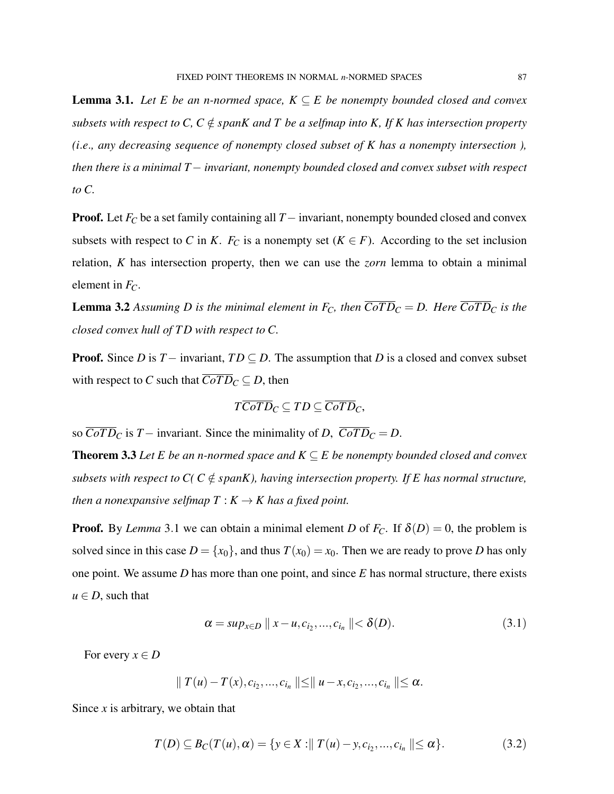**Lemma 3.1.** *Let E be an n-normed space,*  $K \subseteq E$  *be nonempty bounded closed and convex subsets with respect to C, C*  $\notin$  *spanK and T be a selfmap into K, If K has intersection property (i*.*e*.*, any decreasing sequence of nonempty closed subset of K has a nonempty intersection ), then there is a minimal T*− *invariant, nonempty bounded closed and convex subset with respect to C.*

Proof. Let *F<sup>C</sup>* be a set family containing all *T*− invariant, nonempty bounded closed and convex subsets with respect to *C* in *K*.  $F_C$  is a nonempty set ( $K \in F$ ). According to the set inclusion relation, *K* has intersection property, then we can use the *zorn* lemma to obtain a minimal element in *FC*.

**Lemma 3.2** Assuming D is the minimal element in  $F_C$ , then  $\overline{CoTD_C} = D$ . Here  $\overline{CoTD_C}$  is the *closed convex hull of T D with respect to C.*

**Proof.** Since *D* is  $T-$  invariant,  $TD \subseteq D$ . The assumption that *D* is a closed and convex subset with respect to *C* such that  $\overline{CoTD}_C \subseteq D$ , then

$$
\overline{TCoTD}_C \subseteq TD \subseteq \overline{CoTD}_C,
$$

so  $\overline{CoTD}_C$  is *T* − invariant. Since the minimality of *D*,  $\overline{CoTD}_C = D$ .

**Theorem 3.3** Let E be an n-normed space and  $K \subseteq E$  be nonempty bounded closed and convex *subsets with respect to C( C*  $\notin$  *spanK), having intersection property. If E has normal structure, then a nonexpansive selfmap*  $T : K \to K$  *has a fixed point.* 

**Proof.** By *Lemma* 3.1 we can obtain a minimal element *D* of  $F_C$ . If  $\delta(D) = 0$ , the problem is solved since in this case  $D = \{x_0\}$ , and thus  $T(x_0) = x_0$ . Then we are ready to prove *D* has only one point. We assume *D* has more than one point, and since *E* has normal structure, there exists  $u \in D$ , such that

$$
\alpha = \sup_{x \in D} ||x - u, c_{i_2}, ..., c_{i_n}|| < \delta(D). \tag{3.1}
$$

For every  $x \in D$ 

$$
\| T(u) - T(x), c_{i_2}, ..., c_{i_n} \| \leq \| u - x, c_{i_2}, ..., c_{i_n} \| \leq \alpha.
$$

Since *x* is arbitrary, we obtain that

$$
T(D) \subseteq B_C(T(u), \alpha) = \{ y \in X : || T(u) - y, c_{i_2}, ..., c_{i_n} || \leq \alpha \}.
$$
 (3.2)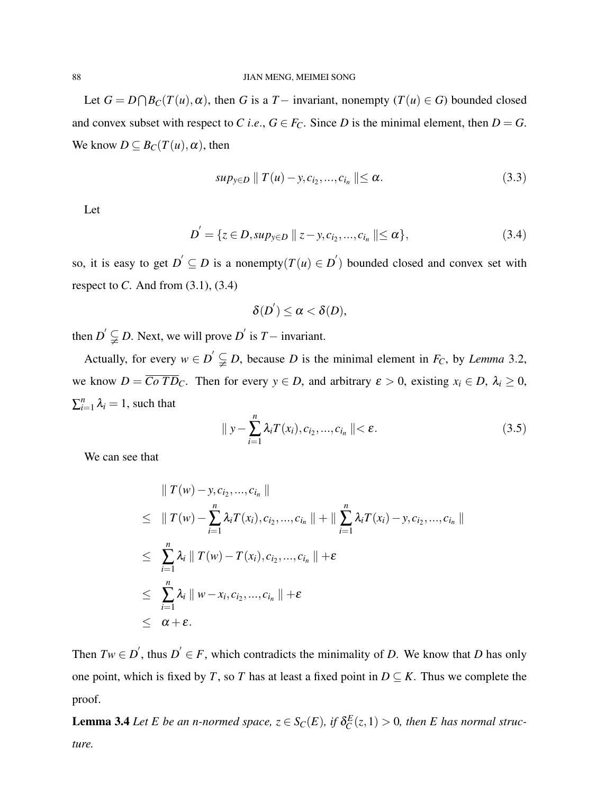Let  $G = D \cap B_C(T(u), \alpha)$ , then *G* is a *T* − invariant, nonempty (*T*(*u*) ∈ *G*) bounded closed and convex subset with respect to *C i.e.*,  $G \in F_C$ . Since *D* is the minimal element, then  $D = G$ . We know  $D \subseteq B_C(T(u), \alpha)$ , then

$$
sup_{y \in D} || T(u) - y, c_{i_2}, ..., c_{i_n} || \le \alpha.
$$
 (3.3)

Let

$$
D' = \{ z \in D, \sup_{y \in D} || z - y, c_{i_2}, ..., c_{i_n} || \le \alpha \},
$$
\n(3.4)

so, it is easy to get  $D' \subseteq D$  is a nonempty $(T(u) \in D')$  bounded closed and convex set with respect to  $C$ . And from  $(3.1)$ ,  $(3.4)$ 

$$
\delta(D^{'})\leq\alpha<\delta(D),
$$

then  $D' \subsetneq D$ . Next, we will prove  $D'$  is  $T-$  invariant.

Actually, for every  $w \in D' \subsetneq D$ , because *D* is the minimal element in *F<sub>C</sub>*, by *Lemma* 3.2, we know  $D = \overline{Co \, TD_C}$ . Then for every  $y \in D$ , and arbitrary  $\varepsilon > 0$ , existing  $x_i \in D$ ,  $\lambda_i \ge 0$ ,  $\sum_{i=1}^n \lambda_i = 1$ , such that

$$
\|y - \sum_{i=1}^{n} \lambda_i T(x_i), c_{i_2}, \dots, c_{i_n} \| < \varepsilon. \tag{3.5}
$$

We can see that

$$
\| T(w) - y, c_{i_2}, ..., c_{i_n} \|
$$
\n
$$
\leq \| T(w) - \sum_{i=1}^n \lambda_i T(x_i), c_{i_2}, ..., c_{i_n} \| + \| \sum_{i=1}^n \lambda_i T(x_i) - y, c_{i_2}, ..., c_{i_n} \|
$$
\n
$$
\leq \sum_{i=1}^n \lambda_i \| T(w) - T(x_i), c_{i_2}, ..., c_{i_n} \| + \varepsilon
$$
\n
$$
\leq \sum_{i=1}^n \lambda_i \| w - x_i, c_{i_2}, ..., c_{i_n} \| + \varepsilon
$$
\n
$$
\leq \alpha + \varepsilon.
$$

Then  $Tw \in D'$ , thus  $D' \in F$ , which contradicts the minimality of *D*. We know that *D* has only one point, which is fixed by *T*, so *T* has at least a fixed point in  $D \subseteq K$ . Thus we complete the proof.

**Lemma 3.4** *Let E be an n-normed space,*  $z \in S_C(E)$ *, if*  $\delta_C^E(z, 1) > 0$ *, then E has normal structure.*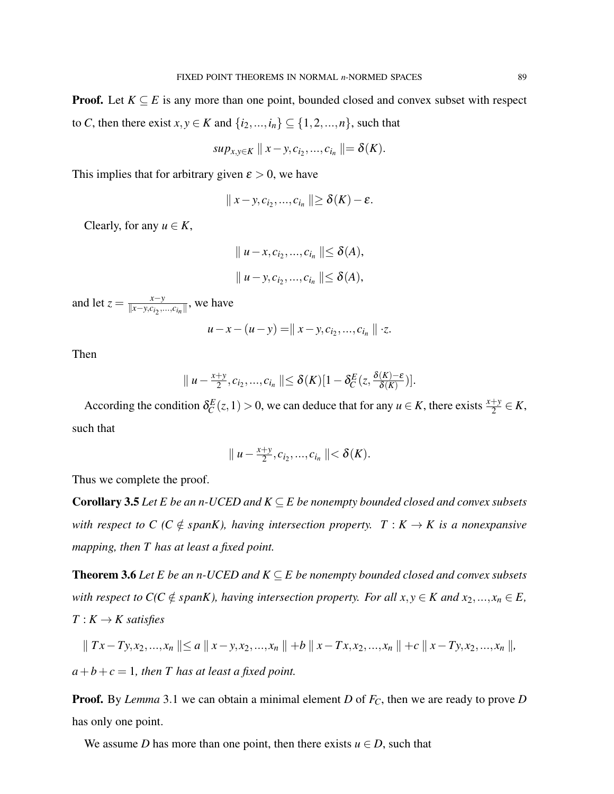**Proof.** Let  $K \subseteq E$  is any more than one point, bounded closed and convex subset with respect to *C*, then there exist  $x, y \in K$  and  $\{i_2, ..., i_n\} \subseteq \{1, 2, ..., n\}$ , such that

$$
sup_{x,y\in K} || x-y,c_{i_2},...,c_{i_n} || = \delta(K).
$$

This implies that for arbitrary given  $\varepsilon > 0$ , we have

$$
|| x-y, c_{i_2},..., c_{i_n} || \geq \delta(K) - \varepsilon.
$$

Clearly, for any  $u \in K$ ,

$$
\| u - x, c_{i_2}, ..., c_{i_n} \| \le \delta(A),
$$
  

$$
\| u - y, c_{i_2}, ..., c_{i_n} \| \le \delta(A),
$$

and let  $z = \frac{x - y}{\|x - y\|c\|}$  $\frac{x-y}{\|x-y,c_{i_2},...,c_{i_n}\|}$ , we have

$$
u-x-(u-y)=
$$
  $|| x-y, c_{i_2},..., c_{i_n} || \cdot z.$ 

Then

$$
\|u-\frac{x+y}{2},c_{i_2},...,c_{i_n}\|\leq \delta(K)[1-\delta_C^E(z,\frac{\delta(K)-\varepsilon}{\delta(K)})].
$$

According the condition  $\delta_C^E(z, 1) > 0$ , we can deduce that for any  $u \in K$ , there exists  $\frac{x+y}{2} \in K$ , such that

$$
\| u - \frac{x+y}{2}, c_{i_2}, ..., c_{i_n} \| < \delta(K).
$$

Thus we complete the proof.

**Corollary 3.5** *Let E be an n-UCED and K*  $\subseteq$  *E be nonempty bounded closed and convex subsets with respect to C (C*  $\notin$  *spanK), having intersection property.*  $T : K \to K$  *is a nonexpansive mapping, then T has at least a fixed point.*

**Theorem 3.6** Let E be an n-UCED and  $K \subseteq E$  be nonempty bounded closed and convex subsets *with respect to*  $C(C \notin span K)$ , *having intersection property. For all*  $x, y \in K$  *and*  $x_2, ..., x_n \in E$ ,  $T: K \rightarrow K$  *satisfies* 

$$
\|Tx-Ty,x_2,...,x_n\|\leq a\|x-y,x_2,...,x_n\|+b\|x-Tx,x_2,...,x_n\|+c\|x-Ty,x_2,...,x_n\|,
$$

 $a+b+c=1$ , then T has at least a fixed point.

Proof. By *Lemma* 3.1 we can obtain a minimal element *D* of *FC*, then we are ready to prove *D* has only one point.

We assume *D* has more than one point, then there exists  $u \in D$ , such that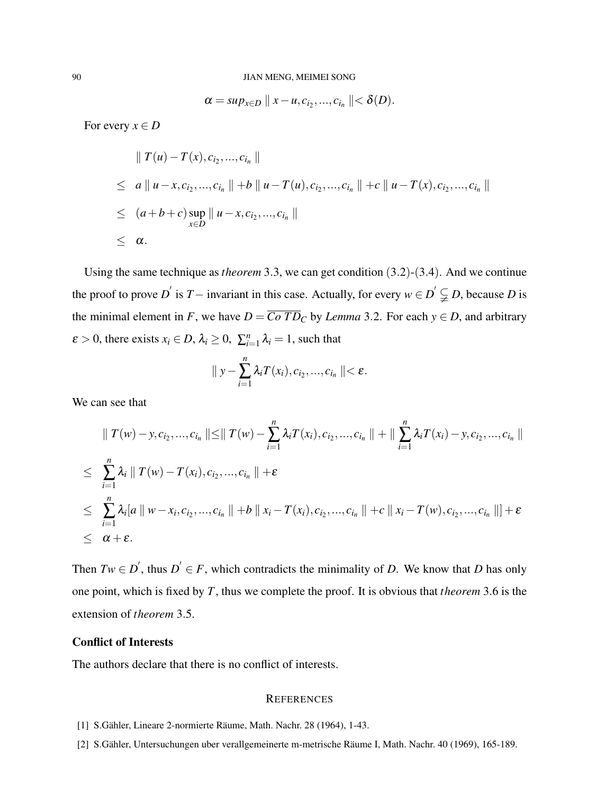$$
\alpha = sup_{x\in D} || x - u, c_{i_2}, ..., c_{i_n} || < \delta(D).
$$

For every  $x \in D$ 

$$
\| T(u) - T(x), c_{i_2}, ..., c_{i_n} \|
$$
  
\n
$$
\leq a \| u - x, c_{i_2}, ..., c_{i_n} \| + b \| u - T(u), c_{i_2}, ..., c_{i_n} \| + c \| u - T(x), c_{i_2}, ..., c_{i_n} \|
$$
  
\n
$$
\leq (a+b+c) \sup_{x \in D} \| u - x, c_{i_2}, ..., c_{i_n} \|
$$
  
\n
$$
\leq \alpha.
$$

Using the same technique as*theorem* 3.3, we can get condition (3.2)-(3.4). And we continue the proof to prove *D*<sup> $\prime$ </sup> is *T*− invariant in this case. Actually, for every  $w \in D' \subsetneq D$ , because *D* is the minimal element in *F*, we have  $D = \overline{C \circ TD_C}$  by *Lemma* 3.2. For each  $y \in D$ , and arbitrary  $\varepsilon > 0$ , there exists  $x_i \in D$ ,  $\lambda_i \geq 0$ ,  $\sum_{i=1}^n \lambda_i = 1$ , such that

$$
\parallel y-\sum_{i=1}^n \lambda_i T(x_i),c_{i_2},...,c_{i_n}\parallel<\varepsilon.
$$

We can see that

$$
\| T(w) - y, c_{i_2}, ..., c_{i_n} \| \le \| T(w) - \sum_{i=1}^n \lambda_i T(x_i), c_{i_2}, ..., c_{i_n} \| + \| \sum_{i=1}^n \lambda_i T(x_i) - y, c_{i_2}, ..., c_{i_n} \|
$$
  
\n
$$
\le \sum_{i=1}^n \lambda_i \| T(w) - T(x_i), c_{i_2}, ..., c_{i_n} \| + \varepsilon
$$
  
\n
$$
\le \sum_{i=1}^n \lambda_i [a \| w - x_i, c_{i_2}, ..., c_{i_n} \| + b \| x_i - T(x_i), c_{i_2}, ..., c_{i_n} \| + c \| x_i - T(w), c_{i_2}, ..., c_{i_n} \|] + \varepsilon
$$
  
\n
$$
\le \alpha + \varepsilon.
$$

Then  $Tw \in D'$ , thus  $D' \in F$ , which contradicts the minimality of *D*. We know that *D* has only one point, which is fixed by *T*, thus we complete the proof. It is obvious that *theorem* 3.6 is the extension of *theorem* 3.5.

## Conflict of Interests

The authors declare that there is no conflict of interests.

#### **REFERENCES**

- [1] S.Gähler, Lineare 2-normierte Räume, Math. Nachr. 28 (1964), 1-43.
- [2] S.Gähler, Untersuchungen uber verallgemeinerte m-metrische Räume I, Math. Nachr. 40 (1969), 165-189.